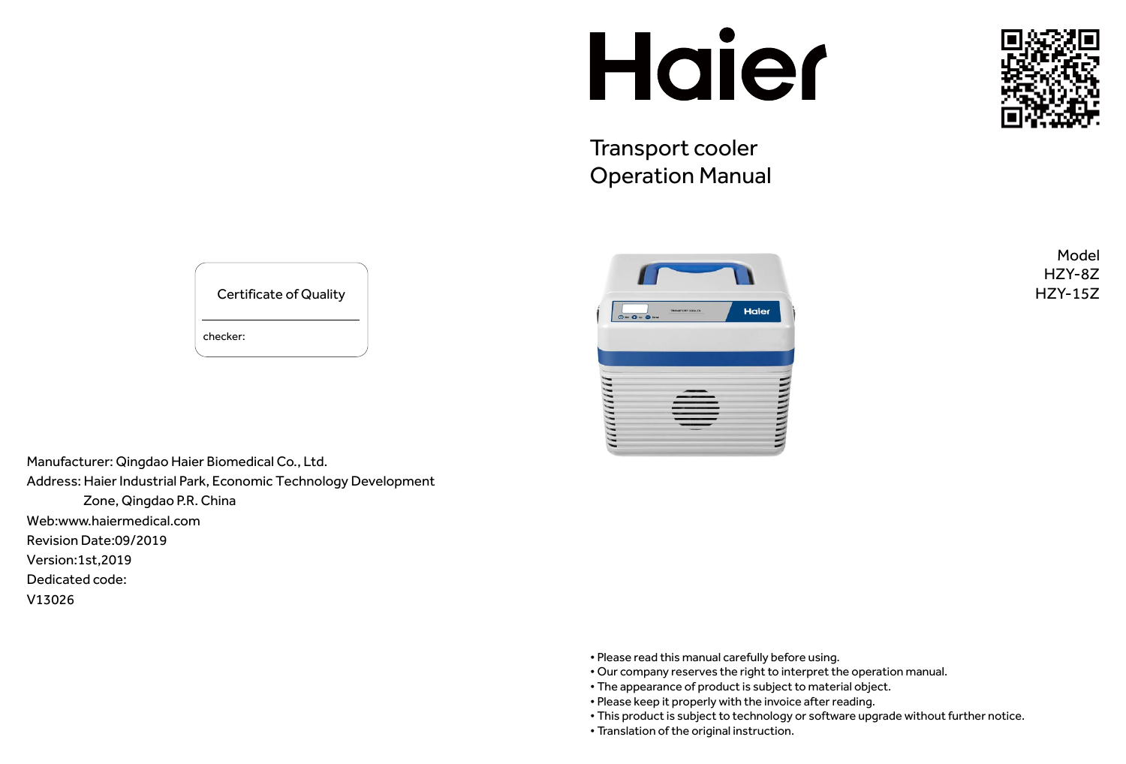Manufacturer: Qingdao Haier Biomedical Co., Ltd. Address: Haier Industrial Park, Economic Technology Development Zone, Qingdao P.R. China Web:www.haiermedical.com Revision Date:09/2019 Version:1st,2019 Dedicated code:

V13026

Certificate of Quality

checker:

# Haier

Transport cooler Operation Manual



#### Model HZY-8Z HZY-15Z

- Please read this manual carefully before using.
- Our company reserves the right to interpret the operation manual.
- The appearance of product is subject to material object.
- Please keep it properly with the invoice after reading.
- This product is subject to technology or software upgrade without further notice.
- Translation of the original instruction.

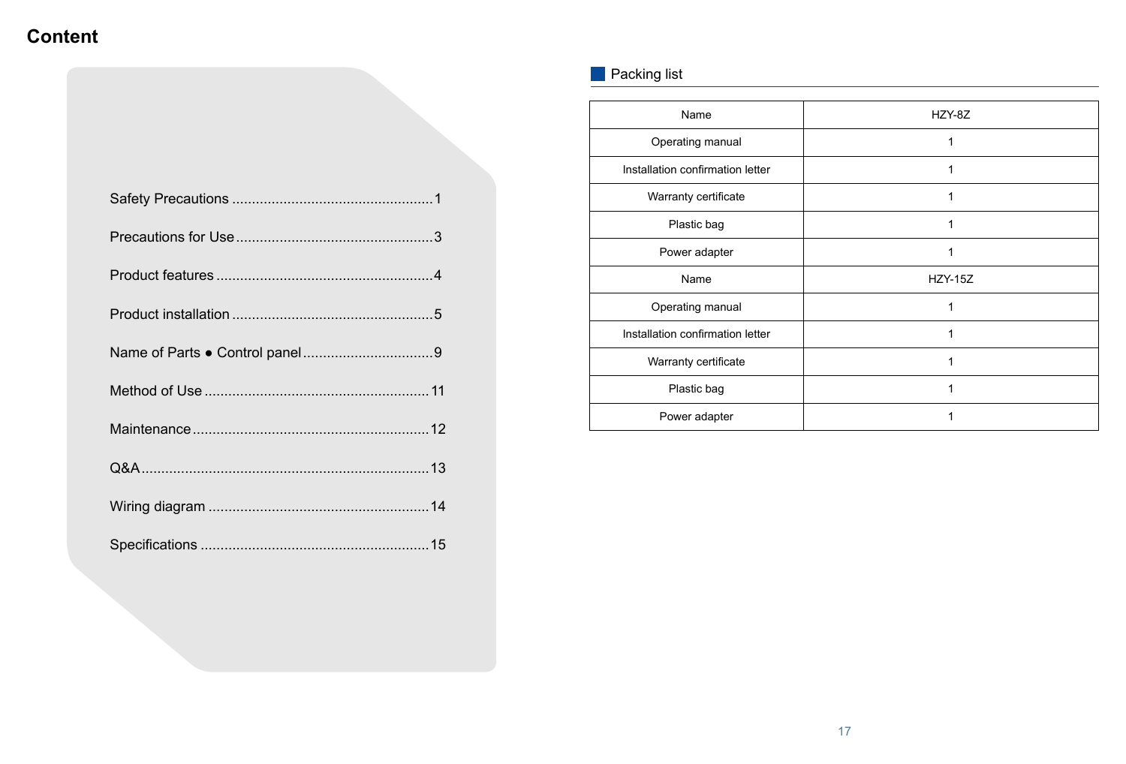# **Content**

#### **Packing list**

| HZY-8Z         |
|----------------|
| 1              |
| 1              |
|                |
|                |
|                |
| <b>HZY-15Z</b> |
| 1              |
|                |
| 1              |
| 1              |
|                |
|                |

| HZY-8Z         |
|----------------|
| $\mathbf 1$    |
| 1              |
| 1              |
| $\overline{1}$ |
| $\overline{1}$ |
| <b>HZY-15Z</b> |
| $\mathbf{1}$   |
| $\mathbf{1}$   |
| 1              |
| 1              |
| 1              |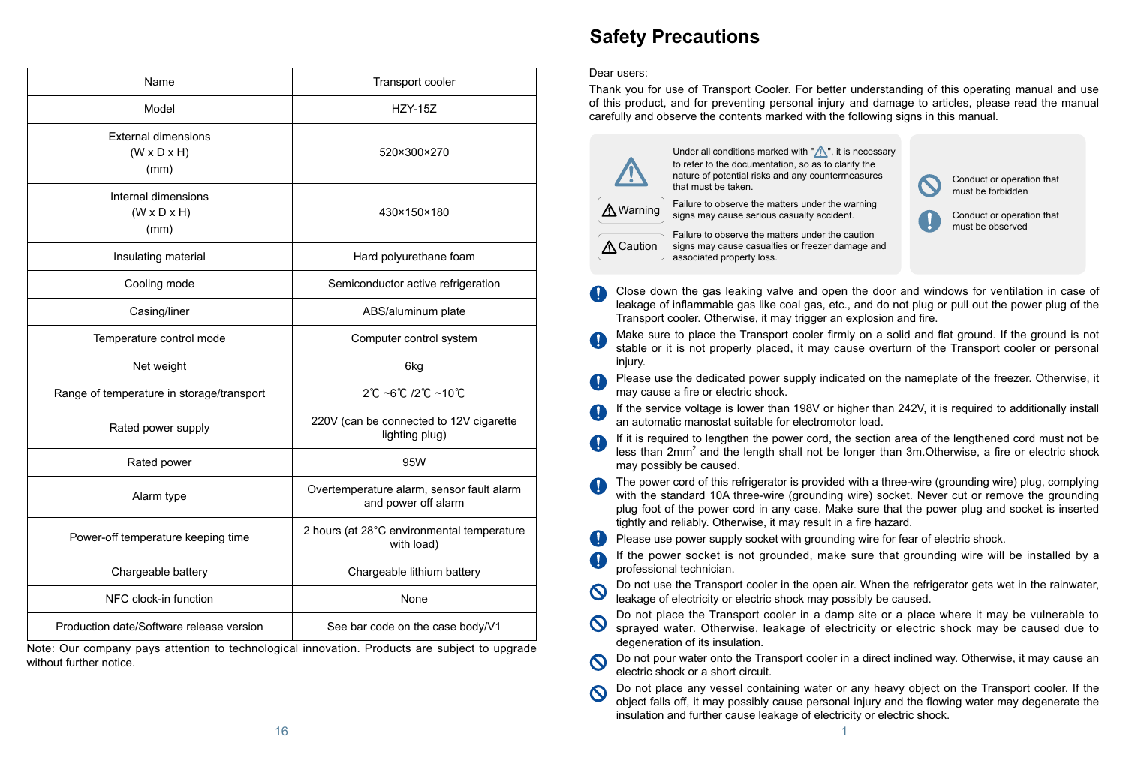| Name                                                          | <b>Transport cooler</b>                                          |
|---------------------------------------------------------------|------------------------------------------------------------------|
| Model                                                         | <b>HZY-15Z</b>                                                   |
| <b>External dimensions</b><br>$(W \times D \times H)$<br>(mm) | 520×300×270                                                      |
| Internal dimensions<br>$(W \times D \times H)$<br>(mm)        | 430×150×180                                                      |
| Insulating material                                           | Hard polyurethane foam                                           |
| Cooling mode                                                  | Semiconductor active refrigeration                               |
| Casing/liner                                                  | ABS/aluminum plate                                               |
| Temperature control mode                                      | Computer control system                                          |
| Net weight                                                    | 6kg                                                              |
| Range of temperature in storage/transport                     | $2^{\circ}$ C ~6 $^{\circ}$ C /2 $^{\circ}$ C ~10 $^{\circ}$ C   |
| Rated power supply                                            | 220V (can be connected to 12V cigarette<br>lighting plug)        |
| Rated power                                                   | 95W                                                              |
| Alarm type                                                    | Overtemperature alarm, sensor fault alarm<br>and power off alarm |
| Power-off temperature keeping time                            | 2 hours (at 28°C environmental temperature<br>with load)         |
| Chargeable battery                                            | Chargeable lithium battery                                       |
| NFC clock-in function                                         | None                                                             |
| Production date/Software release version                      | See bar code on the case body/V1                                 |

Note: Our company pays attention to technological innovation. Products are subject to upgrade without further notice.

# **Safety Precautions**

#### Dear users:

If it is required to lengthen the power cord, the section area of the lengthened cord must not be less than  $2mm^2$  and the length shall not be longer than  $3m$ . Otherwise, a fire or electric shock

Thank you for use of Transport Cooler. For better understanding of this operating manual and use of this product, and for preventing personal injury and damage to articles, please read the manual carefully and observe the contents marked with the following signs in this manual.



Close down the gas leaking valve and open the door and windows for ventilation in case of leakage of inflammable gas like coal gas, etc., and do not plug or pull out the power plug of the

Transport cooler. Otherwise, it may trigger an explosion and fire.

Make sure to place the Transport cooler firmly on a solid and flat ground. If the ground is not stable or it is not properly placed, it may cause overturn of the Transport cooler or personal injury.

Please use the dedicated power supply indicated on the nameplate of the freezer. Otherwise, it

Under all conditions marked with  $\mathbb{Z}$ , it is necessary to refer to the documentation, so as to clarify the nature of potential risks and any countermeasures that must be taken.

If the service voltage is lower than 198V or higher than 242V, it is required to additionally install

The power cord of this refrigerator is provided with a three-wire (grounding wire) plug, complying with the standard 10A three-wire (grounding wire) socket. Never cut or remove the grounding plug foot of the power cord in any case. Make sure that the power plug and socket is inserted

- may cause a fire or electric shock.
- an automatic manostat suitable for electromotor load.
- may possibly be caused.
- tightly and reliably. Otherwise, it may result in a fire hazard.
- Please use power supply socket with grounding wire for fear of electric shock. Œ
- professional technician.
- $\mathbf{\Omega}$ leakage of electricity or electric shock may possibly be caused.
- degeneration of its insulation.
- $\boldsymbol{\Omega}$ electric shock or a short circuit.
- insulation and further cause leakage of electricity or electric shock.

If the power socket is not grounded, make sure that grounding wire will be installed by a

Do not use the Transport cooler in the open air. When the refrigerator gets wet in the rainwater,

Do not place the Transport cooler in a damp site or a place where it may be vulnerable to sprayed water. Otherwise, leakage of electricity or electric shock may be caused due to

Do not pour water onto the Transport cooler in a direct inclined way. Otherwise, it may cause an

Do not place any vessel containing water or any heavy object on the Transport cooler. If the object falls off, it may possibly cause personal injury and the flowing water may degenerate the

Failure to observe the matters under the warning signs may cause serious casualty accident.



Failure to observe the matters under the caution signs may cause casualties or freezer damage and associated property loss.



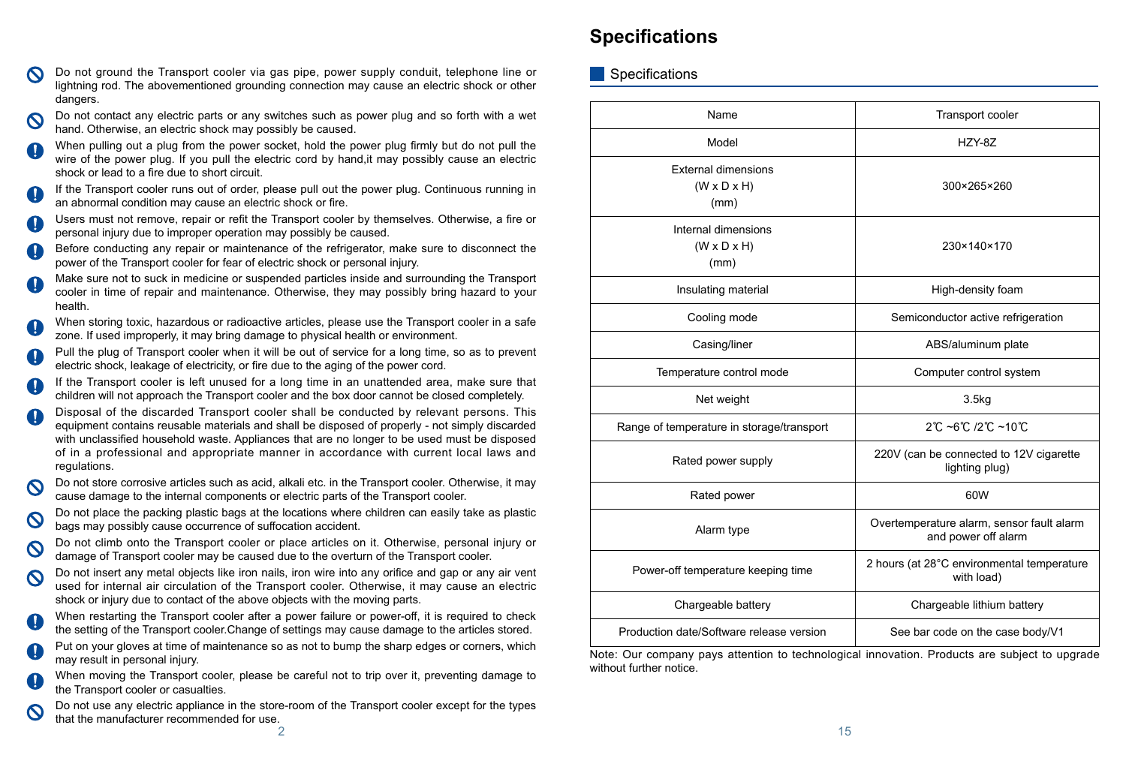- Do not ground the Transport cooler via gas pipe, power supply conduit, telephone line or lightning rod. The abovementioned grounding connection may cause an electric shock or other dangers.
- Do not contact any electric parts or any switches such as power plug and so forth with a wet hand. Otherwise, an electric shock may possibly be caused.
- When pulling out a plug from the power socket, hold the power plug firmly but do not pull the wire of the power plug. If you pull the electric cord by hand,it may possibly cause an electric shock or lead to a fire due to short circuit.
- If the Transport cooler runs out of order, please pull out the power plug. Continuous running in an abnormal condition may cause an electric shock or fire.
- Users must not remove, repair or refit the Transport cooler by themselves. Otherwise, a fire or personal injury due to improper operation may possibly be caused.
- Before conducting any repair or maintenance of the refrigerator, make sure to disconnect the power of the Transport cooler for fear of electric shock or personal injury.
- Make sure not to suck in medicine or suspended particles inside and surrounding the Transport cooler in time of repair and maintenance. Otherwise, they may possibly bring hazard to your health.
- When storing toxic, hazardous or radioactive articles, please use the Transport cooler in a safe zone. If used improperly, it may bring damage to physical health or environment.
- Pull the plug of Transport cooler when it will be out of service for a long time, so as to prevent electric shock, leakage of electricity, or fire due to the aging of the power cord.
- If the Transport cooler is left unused for a long time in an unattended area, make sure that children will not approach the Transport cooler and the box door cannot be closed completely.
- Disposal of the discarded Transport cooler shall be conducted by relevant persons. This equipment contains reusable materials and shall be disposed of properly - not simply discarded with unclassified household waste. Appliances that are no longer to be used must be disposed of in a professional and appropriate manner in accordance with current local laws and regulations.
- Do not store corrosive articles such as acid, alkali etc. in the Transport cooler. Otherwise, it may cause damage to the internal components or electric parts of the Transport cooler.
- Do not place the packing plastic bags at the locations where children can easily take as plastic bags may possibly cause occurrence of suffocation accident.
- Do not climb onto the Transport cooler or place articles on it. Otherwise, personal injury or damage of Transport cooler may be caused due to the overturn of the Transport cooler.
- Do not insert any metal objects like iron nails, iron wire into any orifice and gap or any air vent  $\boldsymbol{\infty}$ used for internal air circulation of the Transport cooler. Otherwise, it may cause an electric shock or injury due to contact of the above objects with the moving parts.
- When restarting the Transport cooler after a power failure or power-off, it is required to check the setting of the Transport cooler.Change of settings may cause damage to the articles stored.
- Put on your gloves at time of maintenance so as not to bump the sharp edges or corners, which may result in personal injury.
- When moving the Transport cooler, please be careful not to trip over it, preventing damage to the Transport cooler or casualties.
- Do not use any electric appliance in the store-room of the Transport cooler except for the types  $\bullet$ that the manufacturer recommended for use.

| Name                                                          | <b>Transport cooler</b>                                          |
|---------------------------------------------------------------|------------------------------------------------------------------|
| Model                                                         | HZY-8Z                                                           |
| <b>External dimensions</b><br>$(W \times D \times H)$<br>(mm) | 300×265×260                                                      |
| Internal dimensions<br>$(W \times D \times H)$<br>(mm)        | 230×140×170                                                      |
| Insulating material                                           | High-density foam                                                |
| Cooling mode                                                  | Semiconductor active refrigeration                               |
| Casing/liner                                                  | ABS/aluminum plate                                               |
| Temperature control mode                                      | Computer control system                                          |
| Net weight                                                    | 3.5kg                                                            |
| Range of temperature in storage/transport                     | $2^{\circ}C$ ~6 $^{\circ}C$ /2 $^{\circ}C$ ~10 $^{\circ}C$       |
| Rated power supply                                            | 220V (can be connected to 12V cigarette<br>lighting plug)        |
| Rated power                                                   | 60W                                                              |
| Alarm type                                                    | Overtemperature alarm, sensor fault alarm<br>and power off alarm |
| Power-off temperature keeping time                            | 2 hours (at 28°C environmental temperature<br>with load)         |
| Chargeable battery                                            | Chargeable lithium battery                                       |
| Production date/Software release version                      | See bar code on the case body/V1                                 |

### **Specifications**

**Specifications** 

| Name                                                                                                      | <b>Transport cooler</b>                                          |  |
|-----------------------------------------------------------------------------------------------------------|------------------------------------------------------------------|--|
| Model                                                                                                     | HZY-8Z                                                           |  |
| <b>External dimensions</b><br>$(W \times D \times H)$<br>(mm)                                             | 300×265×260                                                      |  |
| Internal dimensions<br>$(W \times D \times H)$<br>(mm)                                                    | 230×140×170                                                      |  |
| Insulating material                                                                                       | High-density foam                                                |  |
| Cooling mode                                                                                              | Semiconductor active refrigeration                               |  |
| Casing/liner                                                                                              | ABS/aluminum plate                                               |  |
| Temperature control mode                                                                                  | Computer control system                                          |  |
| Net weight                                                                                                | 3.5kg                                                            |  |
| nge of temperature in storage/transport                                                                   | 2℃ ~6℃ /2℃ ~10℃                                                  |  |
| Rated power supply                                                                                        | 220V (can be connected to 12V cigarette<br>lighting plug)        |  |
| Rated power                                                                                               | 60W                                                              |  |
| Alarm type                                                                                                | Overtemperature alarm, sensor fault alarm<br>and power off alarm |  |
| Power-off temperature keeping time                                                                        | 2 hours (at 28°C environmental temperature<br>with load)         |  |
| Chargeable battery                                                                                        | Chargeable lithium battery                                       |  |
| oduction date/Software release version                                                                    | See bar code on the case body/V1                                 |  |
| ur company pays attention to technological innovation. Products are subject to upgrade<br>$\sim$ n notion |                                                                  |  |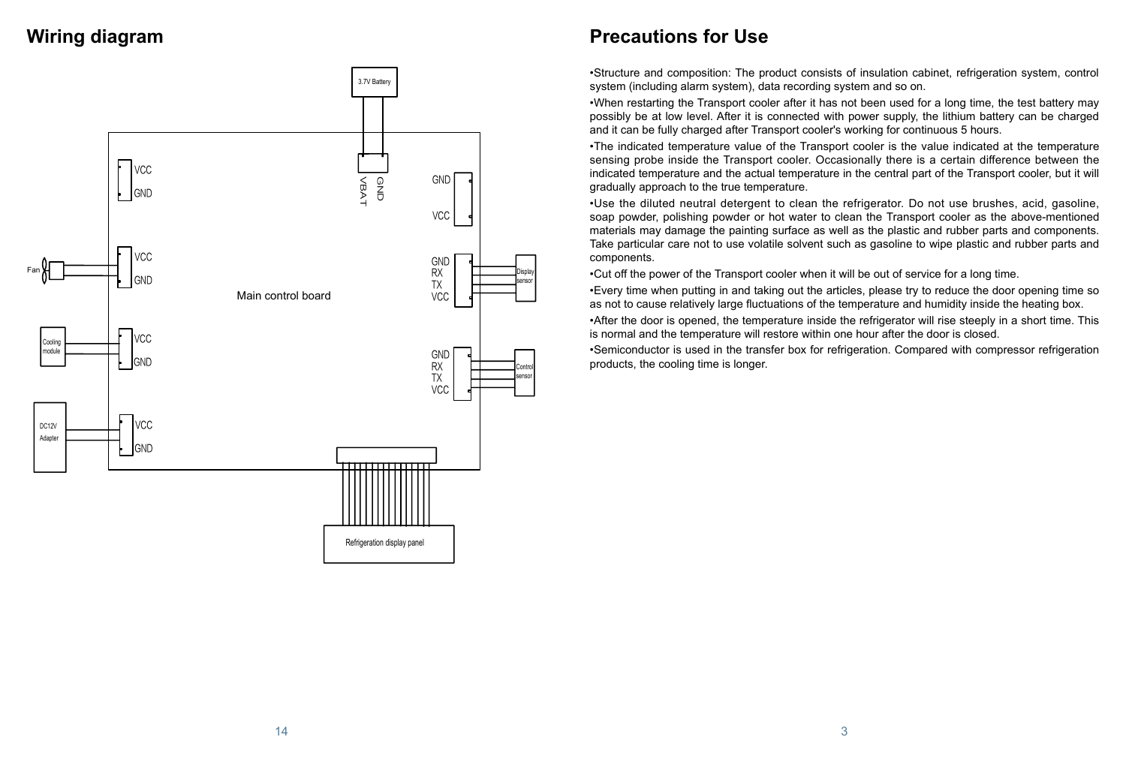## **Wiring diagram**



# **Precautions for Use**

•Structure and composition: The product consists of insulation cabinet, refrigeration system, control system (including alarm system), data recording system and so on.

•When restarting the Transport cooler after it has not been used for a long time, the test battery may possibly be at low level. After it is connected with power supply, the lithium battery can be charged and it can be fully charged after Transport cooler's working for continuous 5 hours.

•The indicated temperature value of the Transport cooler is the value indicated at the temperature sensing probe inside the Transport cooler. Occasionally there is a certain difference between the indicated temperature and the actual temperature in the central part of the Transport cooler, but it will gradually approach to the true temperature.

•Use the diluted neutral detergent to clean the refrigerator. Do not use brushes, acid, gasoline, soap powder, polishing powder or hot water to clean the Transport cooler as the above-mentioned materials may damage the painting surface as well as the plastic and rubber parts and components. Take particular care not to use volatile solvent such as gasoline to wipe plastic and rubber parts and components.

•Cut off the power of the Transport cooler when it will be out of service for a long time. •Every time when putting in and taking out the articles, please try to reduce the door opening time so as not to cause relatively large fluctuations of the temperature and humidity inside the heating box. •After the door is opened, the temperature inside the refrigerator will rise steeply in a short time. This is normal and the temperature will restore within one hour after the door is closed. •Semiconductor is used in the transfer box for refrigeration. Compared with compressor refrigeration products, the cooling time is longer.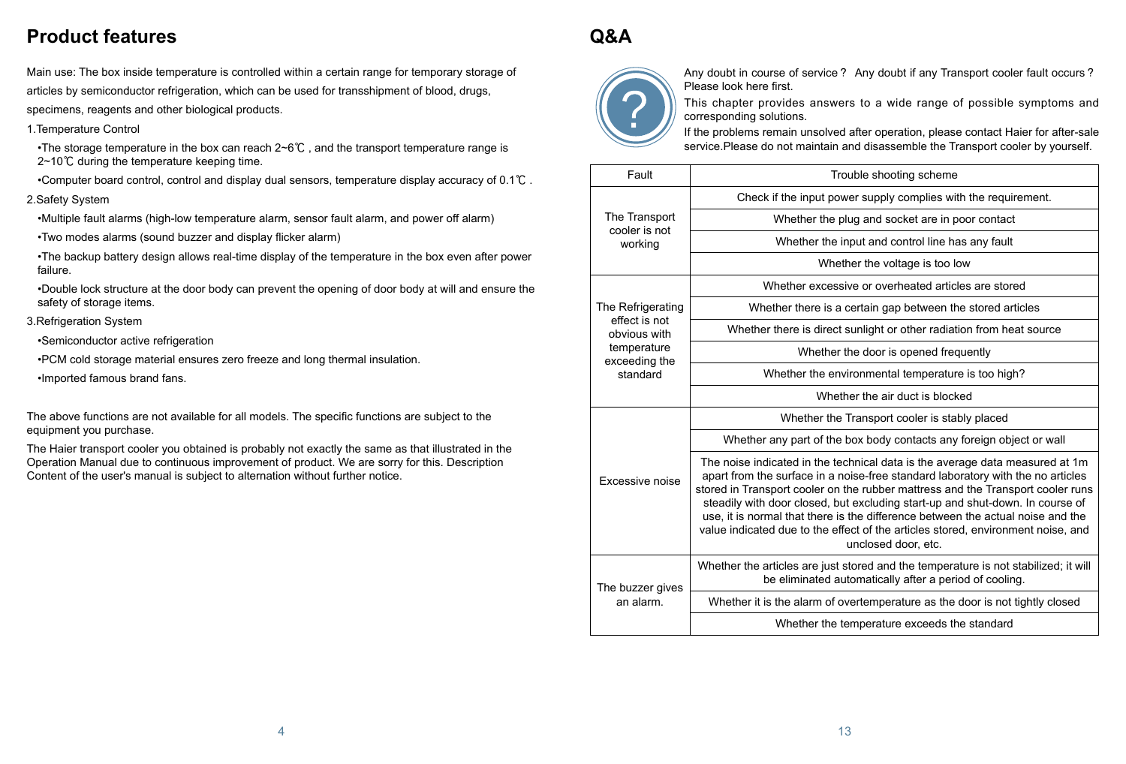uble shooting scheme

er supply complies with the requirement.

lug and socket are in poor contact

nput and control line has any fault

her the voltage is too low

ive or overheated articles are stored

certain gap between the stored articles

sunlight or other radiation from heat source

the door is opened frequently

ironmental temperature is too high?

er the air duct is blocked

Transport cooler is stably placed

box body contacts any foreign object or wall

Main use: The box inside temperature is controlled within a certain range for temporary storage of articles by semiconductor refrigeration, which can be used for transshipment of blood, drugs, specimens, reagents and other biological products.

•The storage temperature in the box can reach  $2~6^{\circ}$  , and the transport temperature range is 2~10℃ during the temperature keeping time.

1.Temperature Control

•Computer board control, control and display dual sensors, temperature display accuracy of 0.1℃ .

2.Safety System

•Multiple fault alarms (high-low temperature alarm, sensor fault alarm, and power off alarm)

•Two modes alarms (sound buzzer and display flicker alarm)

•The backup battery design allows real-time display of the temperature in the box even after power failure.

•Double lock structure at the door body can prevent the opening of door body at will and ensure the safety of storage items.

- 3.Refrigeration System
	- •Semiconductor active refrigeration
	- •PCM cold storage material ensures zero freeze and long thermal insulation.
	- •Imported famous brand fans.

The above functions are not available for all models. The specific functions are subject to the equipment you purchase.

The Haier transport cooler you obtained is probably not exactly the same as that illustrated in the Operation Manual due to continuous improvement of product. We are sorry for this. Description Content of the user's manual is subject to alternation without further notice.

# **Product features**

# **Q&A**



Any doubt in course of service ? Any doubt if any Transport cooler fault occurs ? Please look here first.

> the noisel data is the average data measured at 1m bise-free standard laboratory with the no articles the rubber mattress and the Transport cooler runs t excluding start-up and shut-down. In course of the difference between the actual noise and the ect of the articles stored, environment noise, and unclosed door, etc.

stored and the temperature is not stabilized; it will tomatically after a period of cooling.

vertemperature as the door is not tightly closed

emperature exceeds the standard

This chapter provides answers to a wide range of possible symptoms and corresponding solutions.

If the problems remain unsolved after operation, please contact Haier for after-sale service.Please do not maintain and disassemble the Transport cooler by yourself.

| Fault                                                                                          | Tro                                                                                                                                                                                                          |
|------------------------------------------------------------------------------------------------|--------------------------------------------------------------------------------------------------------------------------------------------------------------------------------------------------------------|
| The Transport<br>cooler is not<br>working                                                      | Check if the input pow                                                                                                                                                                                       |
|                                                                                                | Whether the pl                                                                                                                                                                                               |
|                                                                                                | Whether the in                                                                                                                                                                                               |
|                                                                                                | Wheth                                                                                                                                                                                                        |
| The Refrigerating<br>effect is not<br>obvious with<br>temperature<br>exceeding the<br>standard | Whether excessi                                                                                                                                                                                              |
|                                                                                                | Whether there is a o                                                                                                                                                                                         |
|                                                                                                | Whether there is direct s                                                                                                                                                                                    |
|                                                                                                | Whether t                                                                                                                                                                                                    |
|                                                                                                | Whether the envi                                                                                                                                                                                             |
|                                                                                                | Wheth                                                                                                                                                                                                        |
| <b>Excessive noise</b>                                                                         | Whether the <sup>-</sup>                                                                                                                                                                                     |
|                                                                                                | Whether any part of the b                                                                                                                                                                                    |
|                                                                                                | The noise indicated in the tec<br>apart from the surface in a no<br>stored in Transport cooler on tl<br>steadily with door closed, but<br>use, it is normal that there is<br>value indicated due to the effe |
| The buzzer gives<br>an alarm.                                                                  | Whether the articles are just s<br>be eliminated aut                                                                                                                                                         |
|                                                                                                | Whether it is the alarm of ov                                                                                                                                                                                |
|                                                                                                | Whether the te                                                                                                                                                                                               |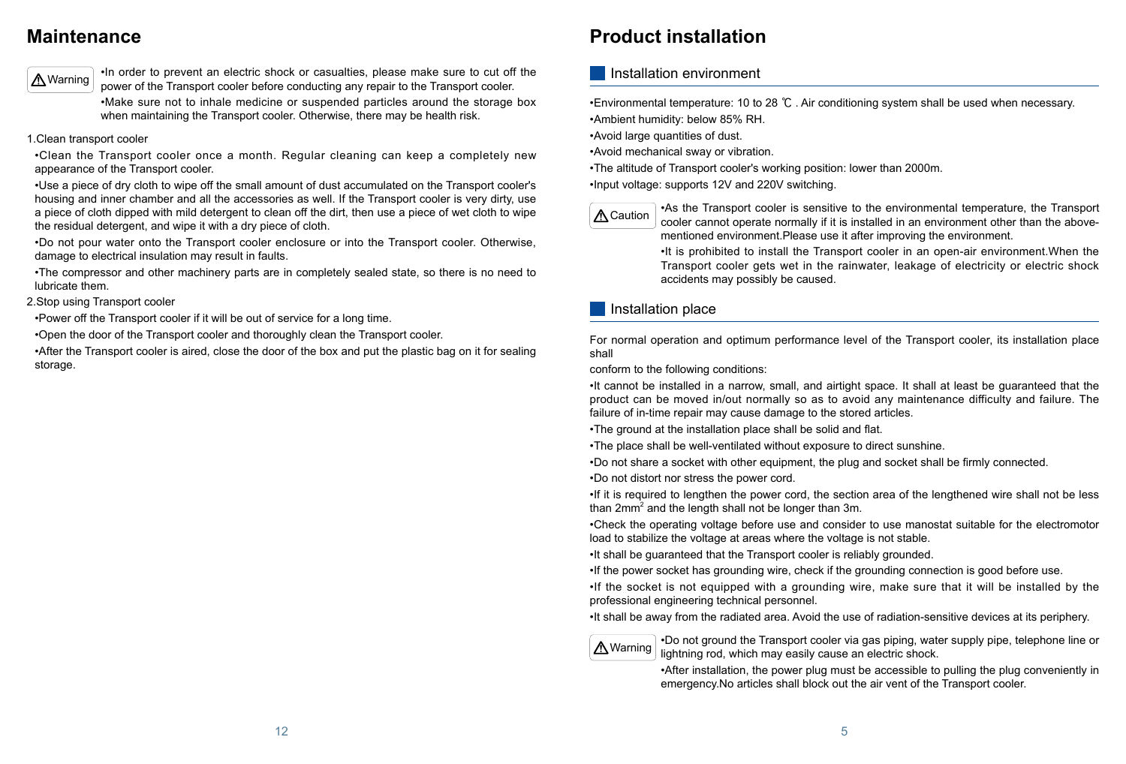#### **Maintenance**

•In order to prevent an electric shock or casualties, please make sure to cut off the power of the Transport cooler before conducting any repair to the Transport cooler.

•Make sure not to inhale medicine or suspended particles around the storage box when maintaining the Transport cooler. Otherwise, there may be health risk.

1.Clean transport cooler

•Clean the Transport cooler once a month. Regular cleaning can keep a completely new appearance of the Transport cooler.

•Use a piece of dry cloth to wipe off the small amount of dust accumulated on the Transport cooler's housing and inner chamber and all the accessories as well. If the Transport cooler is very dirty, use a piece of cloth dipped with mild detergent to clean off the dirt, then use a piece of wet cloth to wipe the residual detergent, and wipe it with a dry piece of cloth.

•Do not pour water onto the Transport cooler enclosure or into the Transport cooler. Otherwise, damage to electrical insulation may result in faults.

•The compressor and other machinery parts are in completely sealed state, so there is no need to lubricate them.

2.Stop using Transport cooler

•Power off the Transport cooler if it will be out of service for a long time.

•If it is required to lengthen the power cord, the section area of the lengthened wire shall not be less than 2mm<sup>2</sup> and the length shall not be longer than 3m.

•Open the door of the Transport cooler and thoroughly clean the Transport cooler.

•After the Transport cooler is aired, close the door of the box and put the plastic bag on it for sealing storage.



# **Product installation**

•Environmental temperature: 10 to 28 ℃ . Air conditioning system shall be used when necessary. •Ambient humidity: below 85% RH.

- •Avoid large quantities of dust.
- •Avoid mechanical sway or vibration.
- •The altitude of Transport cooler's working position: lower than 2000m.
- •Input voltage: supports 12V and 220V switching.

For normal operation and optimum performance level of the Transport cooler, its installation place shall

conform to the following conditions:

•It cannot be installed in a narrow, small, and airtight space. It shall at least be guaranteed that the product can be moved in/out normally so as to avoid any maintenance difficulty and failure. The failure of in-time repair may cause damage to the stored articles.

•The ground at the installation place shall be solid and flat.

- •The place shall be well-ventilated without exposure to direct sunshine.
- •Do not share a socket with other equipment, the plug and socket shall be firmly connected.
- •Do not distort nor stress the power cord.

•Check the operating voltage before use and consider to use manostat suitable for the electromotor load to stabilize the voltage at areas where the voltage is not stable.

- •It shall be guaranteed that the Transport cooler is reliably grounded.
- •If the power socket has grounding wire, check if the grounding connection is good before use.

•If the socket is not equipped with a grounding wire, make sure that it will be installed by the professional engineering technical personnel.

•It shall be away from the radiated area. Avoid the use of radiation-sensitive devices at its periphery.

•As the Transport cooler is sensitive to the environmental temperature, the Transport cooler cannot operate normally if it is installed in an environment other than the abovementioned environment.Please use it after improving the environment. •It is prohibited to install the Transport cooler in an open-air environment.When the Transport cooler gets wet in the rainwater, leakage of electricity or electric shock accidents may possibly be caused.

•Do not ground the Transport cooler via gas piping, water supply pipe, telephone line or lightning rod, which may easily cause an electric shock.

•After installation, the power plug must be accessible to pulling the plug conveniently in emergency.No articles shall block out the air vent of the Transport cooler.

#### Installation environment



#### Installation place

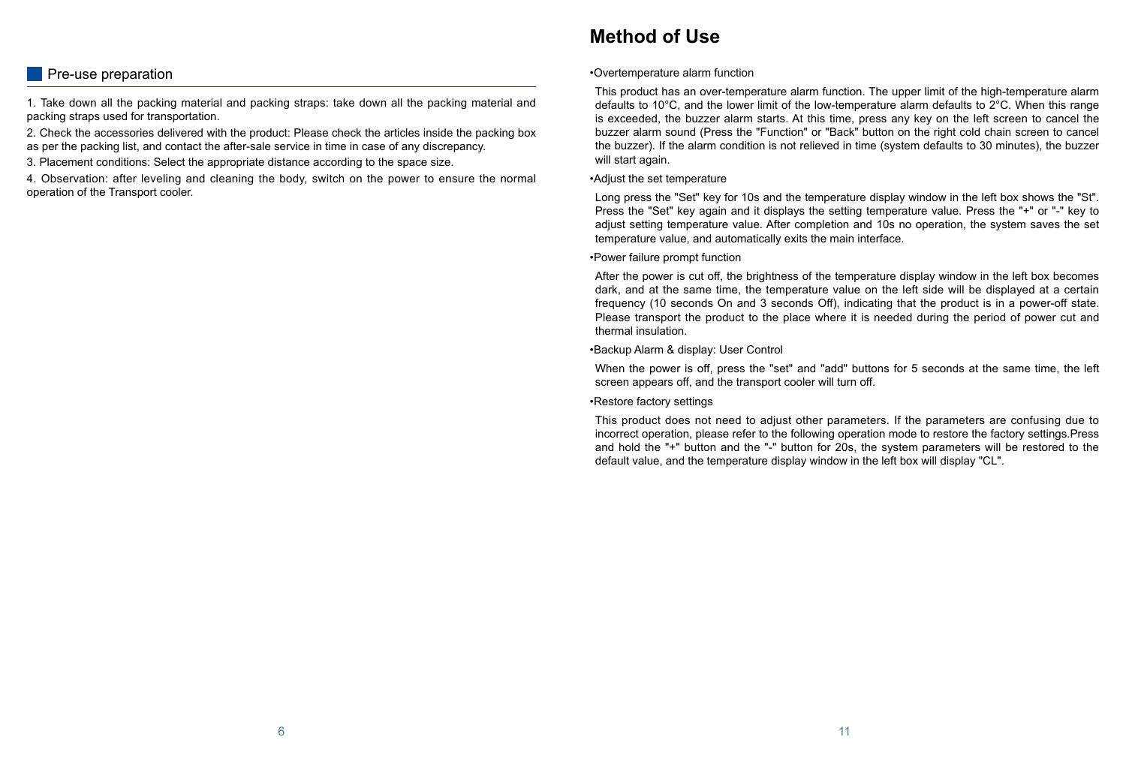#### **Pre-use preparation**

1. Take down all the packing material and packing straps: take down all the packing material and packing straps used for transportation.

2. Check the accessories delivered with the product: Please check the articles inside the packing box as per the packing list, and contact the after-sale service in time in case of any discrepancy.

3. Placement conditions: Select the appropriate distance according to the space size.

4. Observation: after leveling and cleaning the body, switch on the power to ensure the normal operation of the Transport cooler.

•Overtemperature alarm function

This product has an over-temperature alarm function. The upper limit of the high-temperature alarm defaults to 10°C, and the lower limit of the low-temperature alarm defaults to 2°C. When this range is exceeded, the buzzer alarm starts. At this time, press any key on the left screen to cancel the buzzer alarm sound (Press the "Function" or "Back" button on the right cold chain screen to cancel the buzzer). If the alarm condition is not relieved in time (system defaults to 30 minutes), the buzzer will start again.

•Adjust the set temperature

Long press the "Set" key for 10s and the temperature display window in the left box shows the "St". Press the "Set" key again and it displays the setting temperature value. Press the "+" or "-" key to adjust setting temperature value. After completion and 10s no operation, the system saves the set temperature value, and automatically exits the main interface.

•Power failure prompt function

After the power is cut off, the brightness of the temperature display window in the left box becomes dark, and at the same time, the temperature value on the left side will be displayed at a certain frequency (10 seconds On and 3 seconds Off), indicating that the product is in a power-off state. Please transport the product to the place where it is needed during the period of power cut and thermal insulation.

•Backup Alarm & display: User Control

When the power is off, press the "set" and "add" buttons for 5 seconds at the same time, the left screen appears off, and the transport cooler will turn off.

•Restore factory settings

This product does not need to adjust other parameters. If the parameters are confusing due to incorrect operation, please refer to the following operation mode to restore the factory settings.Press and hold the "+" button and the "-" button for 20s, the system parameters will be restored to the default value, and the temperature display window in the left box will display "CL".

#### **Method of Use**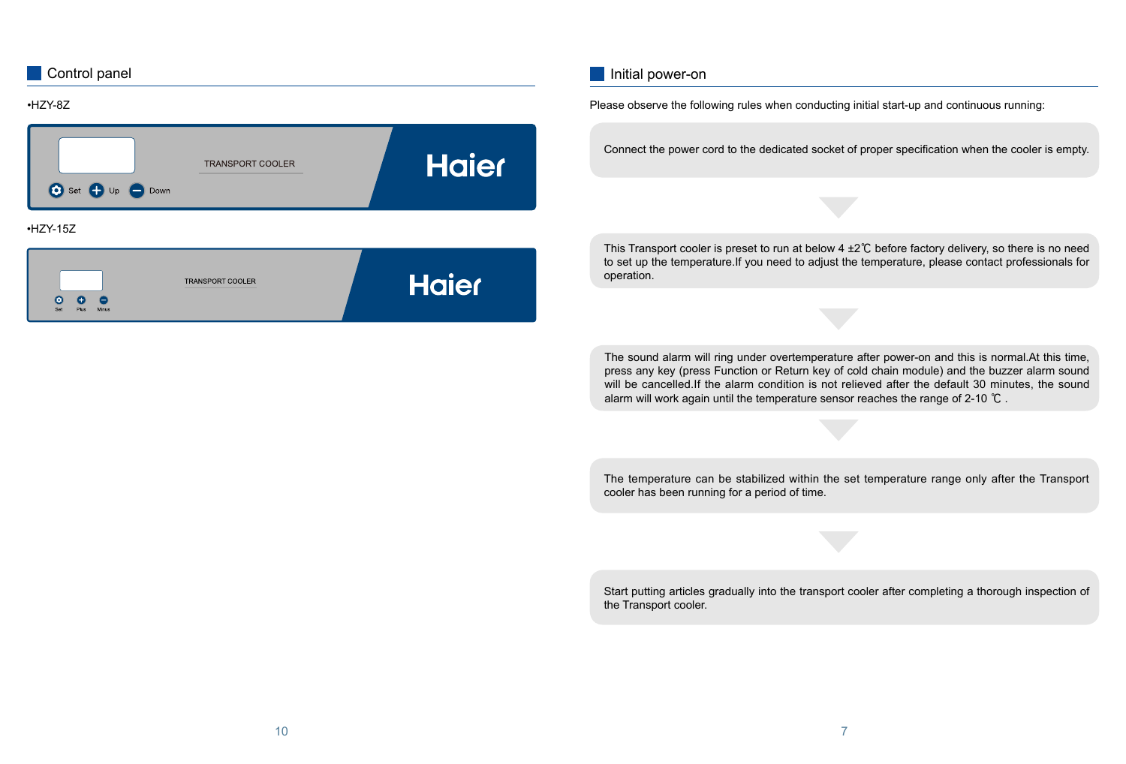| Control panel                                                    |              | Initial power-on                                                                                                                                                                                                                                                                                                                                                                             |
|------------------------------------------------------------------|--------------|----------------------------------------------------------------------------------------------------------------------------------------------------------------------------------------------------------------------------------------------------------------------------------------------------------------------------------------------------------------------------------------------|
| •HZY-8Z                                                          |              | Please observe the following rules when conducting initial start-up and continuous running:                                                                                                                                                                                                                                                                                                  |
| <b>TRANSPORT COOLER</b><br>$\bigodot$ Set $\bigoplus$ Up<br>Down | <b>Haier</b> | Connect the power cord to the dedicated socket of proper specification when the cooler is empty.                                                                                                                                                                                                                                                                                             |
| $·$ HZY-15Z                                                      |              |                                                                                                                                                                                                                                                                                                                                                                                              |
| <b>TRANSPORT COOLER</b>                                          | <b>Haier</b> | This Transport cooler is preset to run at below $4\pm2\degree$ C before factory delivery, so there is no need<br>to set up the temperature. If you need to adjust the temperature, please contact professionals for<br>operation.                                                                                                                                                            |
|                                                                  |              |                                                                                                                                                                                                                                                                                                                                                                                              |
|                                                                  |              | The sound alarm will ring under overtemperature after power-on and this is normal. At this time,<br>press any key (press Function or Return key of cold chain module) and the buzzer alarm sound<br>will be cancelled. If the alarm condition is not relieved after the default 30 minutes, the sound<br>alarm will work again until the temperature sensor reaches the range of 2-10 $°C$ . |
|                                                                  |              |                                                                                                                                                                                                                                                                                                                                                                                              |
|                                                                  |              | The temperature can be stabilized within the set temperature range only after the Transport<br>cooler has been running for a period of time.                                                                                                                                                                                                                                                 |
|                                                                  |              |                                                                                                                                                                                                                                                                                                                                                                                              |
|                                                                  |              | Start putting articles gradually into the transport cooler after completing a thorough inspection of<br>the Transport cooler.                                                                                                                                                                                                                                                                |
|                                                                  |              |                                                                                                                                                                                                                                                                                                                                                                                              |